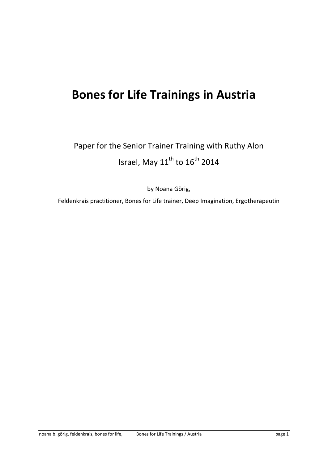# **Bones for Life Trainings in Austria**

Paper for the Senior Trainer Training with Ruthy Alon Israel, May  $11^{\text{th}}$  to  $16^{\text{th}}$  2014

by Noana Görig,

Feldenkrais practitioner, Bones for Life trainer, Deep Imagination, Ergotherapeutin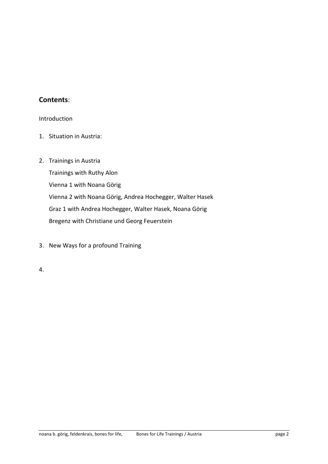# **Contents**:

Introduction

- 1. Situation in Austria:
- 2. Trainings in Austria

Trainings with Ruthy Alon Vienna 1 with Noana Görig Vienna 2 with Noana Görig, Andrea Hochegger, Walter Hasek Graz 1 with Andrea Hochegger, Walter Hasek, Noana Görig Bregenz with Christiane und Georg Feuerstein

- 3. New Ways for a profound Training
- 4.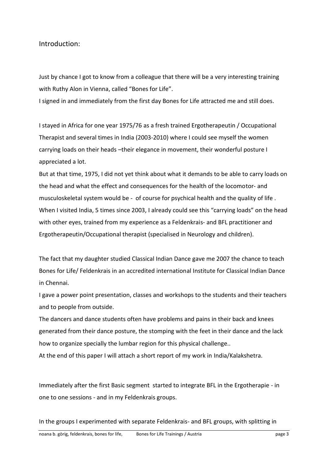Introduction:

Just by chance I got to know from a colleague that there will be a very interesting training with Ruthy Alon in Vienna, called "Bones for Life".

I signed in and immediately from the first day Bones for Life attracted me and still does.

I stayed in Africa for one year 1975/76 as a fresh trained Ergotherapeutin / Occupational Therapist and several times in India (2003-2010) where I could see myself the women carrying loads on their heads –their elegance in movement, their wonderful posture I appreciated a lot.

But at that time, 1975, I did not yet think about what it demands to be able to carry loads on the head and what the effect and consequences for the health of the locomotor- and musculoskeletal system would be - of course for psychical health and the quality of life . When I visited India, 5 times since 2003, I already could see this "carrying loads" on the head with other eyes, trained from my experience as a Feldenkrais- and BFL practitioner and Ergotherapeutin/Occupational therapist (specialised in Neurology and children).

The fact that my daughter studied Classical Indian Dance gave me 2007 the chance to teach Bones for Life/ Feldenkrais in an accredited international Institute for Classical Indian Dance in Chennai.

I gave a power point presentation, classes and workshops to the students and their teachers and to people from outside.

The dancers and dance students often have problems and pains in their back and knees generated from their dance posture, the stomping with the feet in their dance and the lack how to organize specially the lumbar region for this physical challenge..

At the end of this paper I will attach a short report of my work in India/Kalakshetra.

Immediately after the first Basic segment started to integrate BFL in the Ergotherapie - in one to one sessions - and in my Feldenkrais groups.

In the groups I experimented with separate Feldenkrais- and BFL groups, with splitting in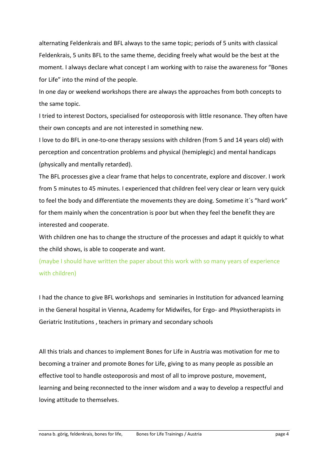alternating Feldenkrais and BFL always to the same topic; periods of 5 units with classical Feldenkrais, 5 units BFL to the same theme, deciding freely what would be the best at the moment. I always declare what concept I am working with to raise the awareness for "Bones for Life" into the mind of the people.

In one day or weekend workshops there are always the approaches from both concepts to the same topic.

I tried to interest Doctors, specialised for osteoporosis with little resonance. They often have their own concepts and are not interested in something new.

I love to do BFL in one-to-one therapy sessions with children (from 5 and 14 years old) with perception and concentration problems and physical (hemiplegic) and mental handicaps (physically and mentally retarded).

The BFL processes give a clear frame that helps to concentrate, explore and discover. I work from 5 minutes to 45 minutes. I experienced that children feel very clear or learn very quick to feel the body and differentiate the movements they are doing. Sometime it´s "hard work" for them mainly when the concentration is poor but when they feel the benefit they are interested and cooperate.

With children one has to change the structure of the processes and adapt it quickly to what the child shows, is able to cooperate and want.

(maybe I should have written the paper about this work with so many years of experience with children)

I had the chance to give BFL workshops and seminaries in Institution for advanced learning in the General hospital in Vienna, Academy for Midwifes, for Ergo- and Physiotherapists in Geriatric Institutions , teachers in primary and secondary schools

All this trials and chances to implement Bones for Life in Austria was motivation for me to becoming a trainer and promote Bones for Life, giving to as many people as possible an effective tool to handle osteoporosis and most of all to improve posture, movement, learning and being reconnected to the inner wisdom and a way to develop a respectful and loving attitude to themselves.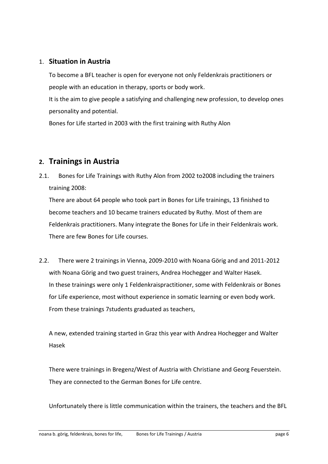## 1. **Situation in Austria**

To become a BFL teacher is open for everyone not only Feldenkrais practitioners or people with an education in therapy, sports or body work.

It is the aim to give people a satisfying and challenging new profession, to develop ones personality and potential.

Bones for Life started in 2003 with the first training with Ruthy Alon

# **2. Trainings in Austria**

2.1. Bones for Life Trainings with Ruthy Alon from 2002 to2008 including the trainers training 2008:

There are about 64 people who took part in Bones for Life trainings, 13 finished to become teachers and 10 became trainers educated by Ruthy. Most of them are Feldenkrais practitioners. Many integrate the Bones for Life in their Feldenkrais work. There are few Bones for Life courses.

2.2. There were 2 trainings in Vienna, 2009-2010 with Noana Görig and and 2011-2012 with Noana Görig and two guest trainers, Andrea Hochegger and Walter Hasek. In these trainings were only 1 Feldenkraispractitioner, some with Feldenkrais or Bones for Life experience, most without experience in somatic learning or even body work. From these trainings 7students graduated as teachers,

A new, extended training started in Graz this year with Andrea Hochegger and Walter Hasek

There were trainings in Bregenz/West of Austria with Christiane and Georg Feuerstein. They are connected to the German Bones for Life centre.

Unfortunately there is little communication within the trainers, the teachers and the BFL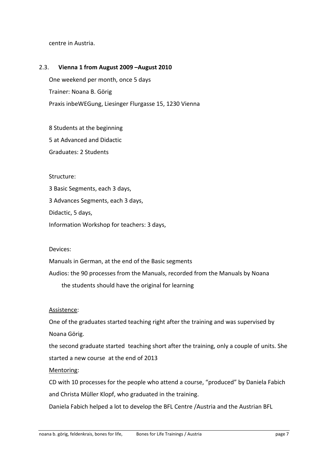centre in Austria.

#### 2.3. **Vienna 1 from August 2009 –August 2010**

One weekend per month, once 5 days Trainer: Noana B. Görig Praxis inbeWEGung, Liesinger Flurgasse 15, 1230 Vienna

8 Students at the beginning

5 at Advanced and Didactic

Graduates: 2 Students

#### Structure:

3 Basic Segments, each 3 days,

3 Advances Segments, each 3 days,

Didactic, 5 days,

Information Workshop for teachers: 3 days,

Devices:

Manuals in German, at the end of the Basic segments

Audios: the 90 processes from the Manuals, recorded from the Manuals by Noana

the students should have the original for learning

#### Assistence:

One of the graduates started teaching right after the training and was supervised by Noana Görig.

the second graduate started teaching short after the training, only a couple of units. She started a new course at the end of 2013

Mentoring:

CD with 10 processes for the people who attend a course, "produced" by Daniela Fabich and Christa Müller Klopf, who graduated in the training.

Daniela Fabich helped a lot to develop the BFL Centre /Austria and the Austrian BFL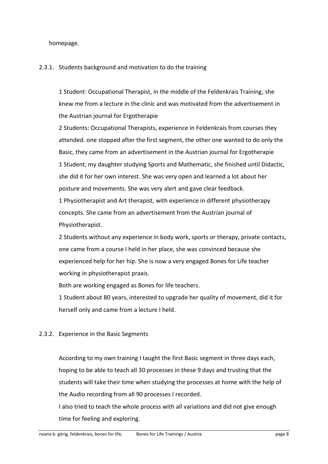homepage.

#### 2.3.1. Students background and motivation to do the training

1 Student: Occupational Therapist, in the middle of the Feldenkrais Training, she knew me from a lecture in the clinic and was motivated from the advertisement in the Austrian journal for Ergotherapie

2 Students: Occupational Therapists, experience in Feldenkrais from courses they attended. one stopped after the first segment, the other one wanted to do only the Basic, they came from an advertisement in the Austrian journal for Ergotherapie 1 Student, my daughter studying Sports and Mathematic, she finished until Didactic, she did it for her own interest. She was very open and learned a lot about her posture and movements. She was very alert and gave clear feedback. 1 Physiotherapist and Art therapist, with experience in different physiotherapy concepts. She came from an advertisement from the Austrian journal of Physiotherapist.

2 Students without any experience in body work, sports or therapy, private contacts, one came from a course I held in her place, she was convinced because she experienced help for her hip. She is now a very engaged Bones for Life teacher working in physiotherapist praxis.

Both are working engaged as Bones for life teachers.

1 Student about 80 years, interested to upgrade her quality of movement, did it for herself only and came from a lecture I held.

## 2.3.2. Experience in the Basic Segments

According to my own training I taught the first Basic segment in three days each, hoping to be able to teach all 30 processes in these 9 days and trusting that the students will take their time when studying the processes at home with the help of the Audio recording from all 90 processes I recorded.

I also tried to teach the whole process with all variations and did not give enough time for feeling and exploring.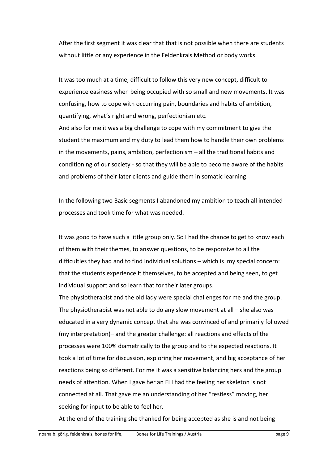After the first segment it was clear that that is not possible when there are students without little or any experience in the Feldenkrais Method or body works.

It was too much at a time, difficult to follow this very new concept, difficult to experience easiness when being occupied with so small and new movements. It was confusing, how to cope with occurring pain, boundaries and habits of ambition, quantifying, what´s right and wrong, perfectionism etc.

And also for me it was a big challenge to cope with my commitment to give the student the maximum and my duty to lead them how to handle their own problems in the movements, pains, ambition, perfectionism – all the traditional habits and conditioning of our society - so that they will be able to become aware of the habits and problems of their later clients and guide them in somatic learning.

In the following two Basic segments I abandoned my ambition to teach all intended processes and took time for what was needed.

It was good to have such a little group only. So I had the chance to get to know each of them with their themes, to answer questions, to be responsive to all the difficulties they had and to find individual solutions – which is my special concern: that the students experience it themselves, to be accepted and being seen, to get individual support and so learn that for their later groups.

The physiotherapist and the old lady were special challenges for me and the group. The physiotherapist was not able to do any slow movement at all – she also was educated in a very dynamic concept that she was convinced of and primarily followed (my interpretation)– and the greater challenge: all reactions and effects of the processes were 100% diametrically to the group and to the expected reactions. It took a lot of time for discussion, exploring her movement, and big acceptance of her reactions being so different. For me it was a sensitive balancing hers and the group needs of attention. When I gave her an FI I had the feeling her skeleton is not connected at all. That gave me an understanding of her "restless" moving, her seeking for input to be able to feel her.

At the end of the training she thanked for being accepted as she is and not being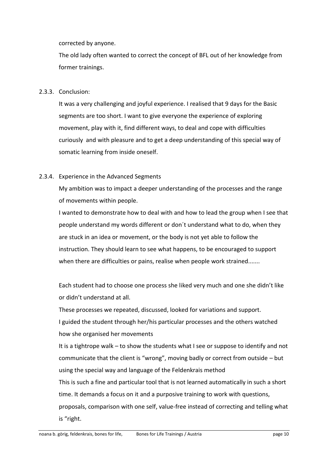corrected by anyone.

The old lady often wanted to correct the concept of BFL out of her knowledge from former trainings.

## 2.3.3. Conclusion:

It was a very challenging and joyful experience. I realised that 9 days for the Basic segments are too short. I want to give everyone the experience of exploring movement, play with it, find different ways, to deal and cope with difficulties curiously and with pleasure and to get a deep understanding of this special way of somatic learning from inside oneself.

## 2.3.4. Experience in the Advanced Segments

My ambition was to impact a deeper understanding of the processes and the range of movements within people.

I wanted to demonstrate how to deal with and how to lead the group when I see that people understand my words different or don´t understand what to do, when they are stuck in an idea or movement, or the body is not yet able to follow the instruction. They should learn to see what happens, to be encouraged to support when there are difficulties or pains, realise when people work strained.......

Each student had to choose one process she liked very much and one she didn't like or didn't understand at all.

These processes we repeated, discussed, looked for variations and support. I guided the student through her/his particular processes and the others watched how she organised her movements

It is a tightrope walk – to show the students what I see or suppose to identify and not communicate that the client is "wrong", moving badly or correct from outside – but using the special way and language of the Feldenkrais method

This is such a fine and particular tool that is not learned automatically in such a short time. It demands a focus on it and a purposive training to work with questions, proposals, comparison with one self, value-free instead of correcting and telling what

is "right.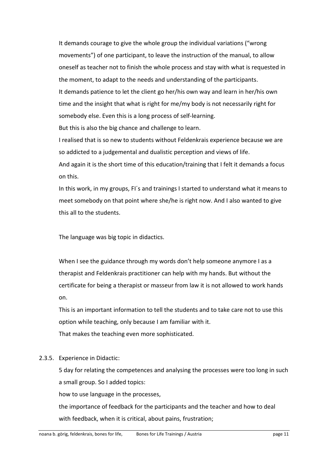It demands courage to give the whole group the individual variations ("wrong movements") of one participant, to leave the instruction of the manual, to allow oneself as teacher not to finish the whole process and stay with what is requested in the moment, to adapt to the needs and understanding of the participants. It demands patience to let the client go her/his own way and learn in her/his own time and the insight that what is right for me/my body is not necessarily right for somebody else. Even this is a long process of self-learning. But this is also the big chance and challenge to learn. I realised that is so new to students without Feldenkrais experience because we are

so addicted to a judgemental and dualistic perception and views of life.

And again it is the short time of this education/training that I felt it demands a focus on this.

In this work, in my groups, FI´s and trainings I started to understand what it means to meet somebody on that point where she/he is right now. And I also wanted to give this all to the students.

The language was big topic in didactics.

When I see the guidance through my words don't help someone anymore I as a therapist and Feldenkrais practitioner can help with my hands. But without the certificate for being a therapist or masseur from law it is not allowed to work hands on.

This is an important information to tell the students and to take care not to use this option while teaching, only because I am familiar with it. That makes the teaching even more sophisticated.

# 2.3.5. Experience in Didactic:

5 day for relating the competences and analysing the processes were too long in such a small group. So I added topics:

how to use language in the processes,

the importance of feedback for the participants and the teacher and how to deal with feedback, when it is critical, about pains, frustration;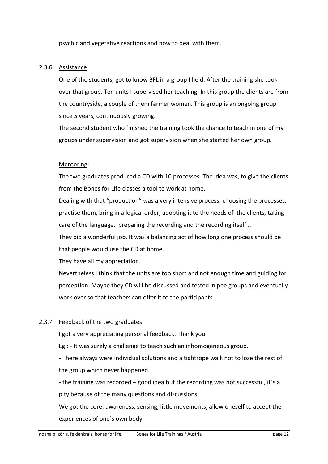psychic and vegetative reactions and how to deal with them.

## 2.3.6. Assistance

One of the students, got to know BFL in a group I held. After the training she took over that group. Ten units I supervised her teaching. In this group the clients are from the countryside, a couple of them farmer women. This group is an ongoing group since 5 years, continuously growing.

The second student who finished the training took the chance to teach in one of my groups under supervision and got supervision when she started her own group.

## Mentoring:

The two graduates produced a CD with 10 processes. The idea was, to give the clients from the Bones for Life classes a tool to work at home.

Dealing with that "production" was a very intensive process: choosing the processes, practise them, bring in a logical order, adopting it to the needs of the clients, taking care of the language, preparing the recording and the recording itself....

They did a wonderful job. It was a balancing act of how long one process should be that people would use the CD at home.

They have all my appreciation.

Nevertheless I think that the units are too short and not enough time and guiding for perception. Maybe they CD will be discussed and tested in pee groups and eventually work over so that teachers can offer it to the participants

## 2.3.7. Feedback of the two graduates:

I got a very appreciating personal feedback. Thank you

Eg.: - It was surely a challenge to teach such an inhomogeneous group.

- There always were individual solutions and a tightrope walk not to lose the rest of the group which never happened.

- the training was recorded – good idea but the recording was not successful, it´s a pity because of the many questions and discussions.

We got the core: awareness, sensing, little movements, allow oneself to accept the experiences of one´s own body.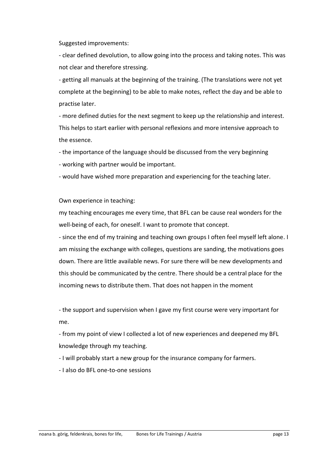Suggested improvements:

- clear defined devolution, to allow going into the process and taking notes. This was not clear and therefore stressing.

- getting all manuals at the beginning of the training. (The translations were not yet complete at the beginning) to be able to make notes, reflect the day and be able to practise later.

- more defined duties for the next segment to keep up the relationship and interest. This helps to start earlier with personal reflexions and more intensive approach to the essence.

- the importance of the language should be discussed from the very beginning

- working with partner would be important.

- would have wished more preparation and experiencing for the teaching later.

Own experience in teaching:

my teaching encourages me every time, that BFL can be cause real wonders for the well-being of each, for oneself. I want to promote that concept.

- since the end of my training and teaching own groups I often feel myself left alone. I am missing the exchange with colleges, questions are sanding, the motivations goes down. There are little available news. For sure there will be new developments and this should be communicated by the centre. There should be a central place for the incoming news to distribute them. That does not happen in the moment

- the support and supervision when I gave my first course were very important for me.

- from my point of view I collected a lot of new experiences and deepened my BFL knowledge through my teaching.

- I will probably start a new group for the insurance company for farmers.

- I also do BFL one-to-one sessions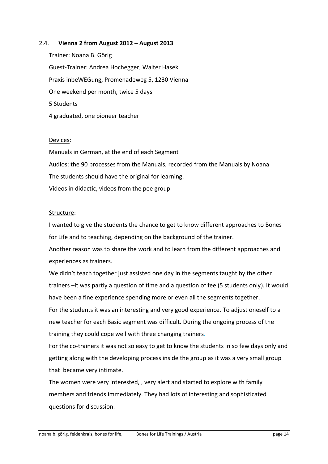#### 2.4. **Vienna 2 from August 2012 – August 2013**

Trainer: Noana B. Görig Guest-Trainer: Andrea Hochegger, Walter Hasek Praxis inbeWEGung, Promenadeweg 5, 1230 Vienna One weekend per month, twice 5 days 5 Students 4 graduated, one pioneer teacher

#### Devices:

Manuals in German, at the end of each Segment Audios: the 90 processes from the Manuals, recorded from the Manuals by Noana The students should have the original for learning. Videos in didactic, videos from the pee group

#### Structure:

I wanted to give the students the chance to get to know different approaches to Bones for Life and to teaching, depending on the background of the trainer.

Another reason was to share the work and to learn from the different approaches and experiences as trainers.

We didn't teach together just assisted one day in the segments taught by the other trainers –it was partly a question of time and a question of fee (5 students only). It would have been a fine experience spending more or even all the segments together.

For the students it was an interesting and very good experience. To adjust oneself to a new teacher for each Basic segment was difficult. During the ongoing process of the training they could cope well with three changing trainers.

For the co-trainers it was not so easy to get to know the students in so few days only and getting along with the developing process inside the group as it was a very small group that became very intimate.

The women were very interested, , very alert and started to explore with family members and friends immediately. They had lots of interesting and sophisticated questions for discussion.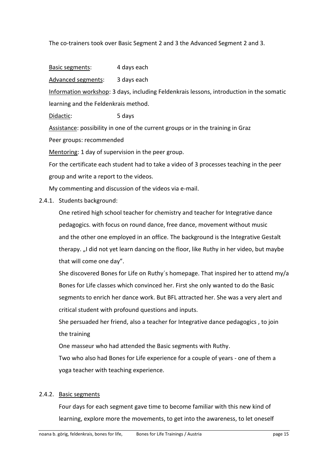The co-trainers took over Basic Segment 2 and 3 the Advanced Segment 2 and 3.

Basic segments: 4 days each

Advanced segments: 3 days each

Information workshop: 3 days, including Feldenkrais lessons, introduction in the somatic learning and the Feldenkrais method.

Didactic: 5 days

Assistance: possibility in one of the current groups or in the training in Graz

Peer groups: recommended

Mentoring: 1 day of supervision in the peer group.

For the certificate each student had to take a video of 3 processes teaching in the peer group and write a report to the videos.

My commenting and discussion of the videos via e-mail.

#### 2.4.1. Students background:

One retired high school teacher for chemistry and teacher for Integrative dance pedagogics. with focus on round dance, free dance, movement without music and the other one employed in an office. The background is the Integrative Gestalt therapy. "I did not yet learn dancing on the floor, like Ruthy in her video, but maybe that will come one day".

She discovered Bones for Life on Ruthy´s homepage. That inspired her to attend my/a Bones for Life classes which convinced her. First she only wanted to do the Basic segments to enrich her dance work. But BFL attracted her. She was a very alert and critical student with profound questions and inputs.

She persuaded her friend, also a teacher for Integrative dance pedagogics , to join the training

One masseur who had attended the Basic segments with Ruthy.

Two who also had Bones for Life experience for a couple of years - one of them a yoga teacher with teaching experience.

#### 2.4.2. Basic segments

Four days for each segment gave time to become familiar with this new kind of learning, explore more the movements, to get into the awareness, to let oneself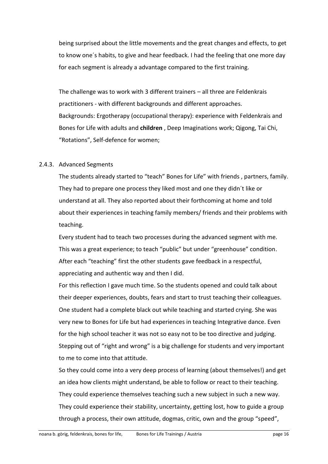being surprised about the little movements and the great changes and effects, to get to know one´s habits, to give and hear feedback. I had the feeling that one more day for each segment is already a advantage compared to the first training.

The challenge was to work with 3 different trainers – all three are Feldenkrais practitioners - with different backgrounds and different approaches. Backgrounds: Ergotherapy (occupational therapy): experience with Feldenkrais and Bones for Life with adults and **children** , Deep Imaginations work; Qigong, Tai Chi, "Rotations", Self-defence for women;

#### 2.4.3. Advanced Segments

The students already started to "teach" Bones for Life" with friends , partners, family. They had to prepare one process they liked most and one they didn´t like or understand at all. They also reported about their forthcoming at home and told about their experiences in teaching family members/ friends and their problems with teaching.

Every student had to teach two processes during the advanced segment with me. This was a great experience; to teach "public" but under "greenhouse" condition. After each "teaching" first the other students gave feedback in a respectful, appreciating and authentic way and then I did.

For this reflection I gave much time. So the students opened and could talk about their deeper experiences, doubts, fears and start to trust teaching their colleagues. One student had a complete black out while teaching and started crying. She was very new to Bones for Life but had experiences in teaching Integrative dance. Even for the high school teacher it was not so easy not to be too directive and judging. Stepping out of "right and wrong" is a big challenge for students and very important to me to come into that attitude.

So they could come into a very deep process of learning (about themselves!) and get an idea how clients might understand, be able to follow or react to their teaching. They could experience themselves teaching such a new subject in such a new way. They could experience their stability, uncertainty, getting lost, how to guide a group through a process, their own attitude, dogmas, critic, own and the group "speed",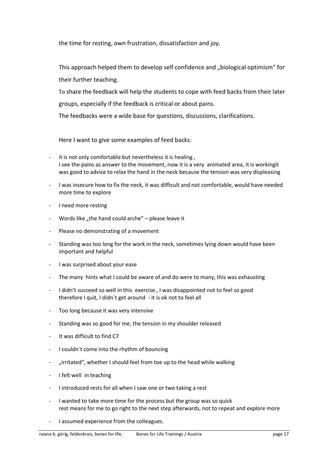the time for resting, own frustration, dissatisfaction and joy.

This approach helped them to develop self confidence and "biological optimism" for their further teaching.

To share the feedback will help the students to cope with feed backs from their later groups, especially if the feedback is critical or about pains.

The feedbacks were a wide base for questions, discussions, clarifications.

Here I want to give some examples of feed backs:

- it is not only comfortable but nevertheless it is healing, I see the pains as answer to the movement, now it is a very animated area, it is workingit was good to advice to relax the hand in the neck because the tension was very displeasing
- I was insecure how to fix the neck, it was difficult and not comfortable, would have needed more time to explore
- I need more resting
- Words like "the hand could arche"  $-$  please leave it
- Please no demonstrating of a movement
- Standing was too long for the work in the neck, sometimes lying down would have been important and helpful
- I was surprised about your ease
- The many hints what I could be aware of and do were to many, this was exhausting
- I didn't succeed so well in this exercise , I was disappointed not to feel so good therefore I quit, I didn´t get around - it is ok not to feel all
- Too long because it was very intensive
- Standing was so good for me, the tension in my shoulder released
- It was difficult to find C7
- I couldn´t come into the rhythm of bouncing
- "irritated", whether I should feel from toe up to the head while walking
- I felt well in teaching
- I introduced rests for all when I saw one or two taking a rest
- I wanted to take more time for the process but the group was so quick rest means for me to go right to the next step afterwards, not to repeat and explore more
- I assumed experience from the colleagues.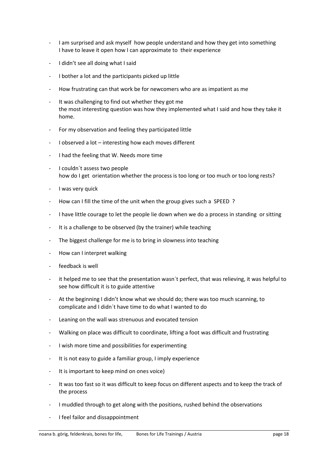- I am surprised and ask myself how people understand and how they get into something I have to leave it open how I can approximate to their experience
- I didn't see all doing what I said
- I bother a lot and the participants picked up little
- How frustrating can that work be for newcomers who are as impatient as me
- It was challenging to find out whether they got me the most interesting question was how they implemented what I said and how they take it home.
- For my observation and feeling they participated little
- I observed a lot interesting how each moves different
- I had the feeling that W. Needs more time
- I couldn't assess two people how do I get orientation whether the process is too long or too much or too long rests?
- I was very quick
- How can I fill the time of the unit when the group gives such a SPEED ?
- I have little courage to let the people lie down when we do a process in standing or sitting
- It is a challenge to be observed (by the trainer) while teaching
- The biggest challenge for me is to bring in slowness into teaching
- How can I interpret walking
- feedback is well
- it helped me to see that the presentation wasn't perfect, that was relieving, it was helpful to see how difficult it is to guide attentive
- At the beginning I didn't know what we should do; there was too much scanning, to complicate and I didn´t have time to do what I wanted to do
- Leaning on the wall was strenuous and evocated tension
- Walking on place was difficult to coordinate, lifting a foot was difficult and frustrating
- I wish more time and possibilities for experimenting
- It is not easy to guide a familiar group, I imply experience
- It is important to keep mind on ones voice)
- It was too fast so it was difficult to keep focus on different aspects and to keep the track of the process
- I muddled through to get along with the positions, rushed behind the observations
- I feel failor and dissappointment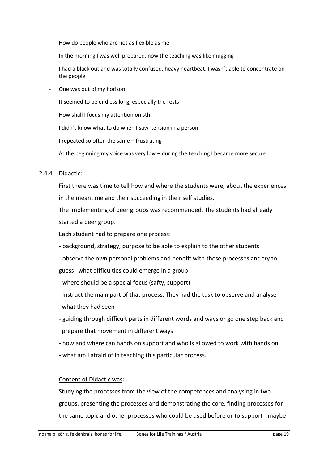- How do people who are not as flexible as me
- In the morning I was well prepared, now the teaching was like mugging
- I had a black out and was totally confused, heavy heartbeat, I wasn't able to concentrate on the people
- One was out of my horizon
- It seemed to be endless long, especially the rests
- How shall I focus my attention on sth.
- I didn´t know what to do when I saw tension in a person
- I repeated so often the same frustrating
- At the beginning my voice was very low  $-$  during the teaching I became more secure

#### 2.4.4. Didactic:

First there was time to tell how and where the students were, about the experiences in the meantime and their succeeding in their self studies.

The implementing of peer groups was recommended. The students had already started a peer group.

Each student had to prepare one process:

- background, strategy, purpose to be able to explain to the other students
- observe the own personal problems and benefit with these processes and try to guess what difficulties could emerge in a group
- where should be a special focus (safty, support)
- instruct the main part of that process. They had the task to observe and analyse what they had seen
- guiding through difficult parts in different words and ways or go one step back and prepare that movement in different ways
- how and where can hands on support and who is allowed to work with hands on
- what am I afraid of in teaching this particular process.

#### Content of Didactic was:

Studying the processes from the view of the competences and analysing in two groups, presenting the processes and demonstrating the core, finding processes for the same topic and other processes who could be used before or to support - maybe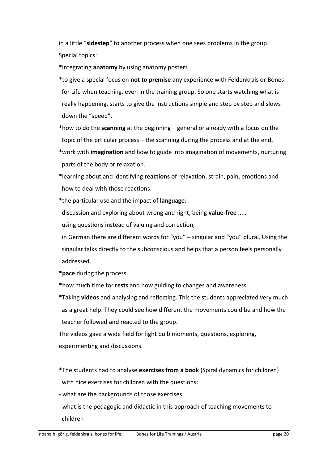in a little "**sidestep**" to another process when one sees problems in the group. Special topics:

\*integrating **anatomy** by using anatomy posters

- \*to give a special focus on **not to premise** any experience with Feldenkrais or Bones for Life when teaching, even in the training group. So one starts watching what is really happening, starts to give the instructions simple and step by step and slows down the "speed".
- \*how to do the **scanning** at the beginning general or already with a focus on the topic of the prticular process – the scanning during the process and at the end.
- \*work with **imagination** and how to guide into imagination of movements, nurturing parts of the body or relaxation.
- \*learning about and identifying **reactions** of relaxation, strain, pain, emotions and how to deal with those reactions.
- \*the particular use and the impact of **language**:
- discussion and exploring about wrong and right, being **value-free** .....

using questions instead of valuing and correction,

 in German there are different words for "you" – singular and "you" plural. Using the singular talks directly to the subconscious and helps that a person feels personally addressed.

- \***pace** during the process
- \*how much time for **rests** and how guiding to changes and awareness
- \*Taking **videos** and analysing and reflecting. This the students appreciated very much as a great help. They could see how different the movements could be and how the teacher followed and reacted to the group.

The videos gave a wide field for light bulb moments, questions, exploring, experimenting and discussions.

- \*The students had to analyse **exercises from a book** (Spiral dynamics for children) with nice exercises for children with the questions:
- what are the backgrounds of those exercises
- what is the pedagogic and didactic in this approach of teaching movements to children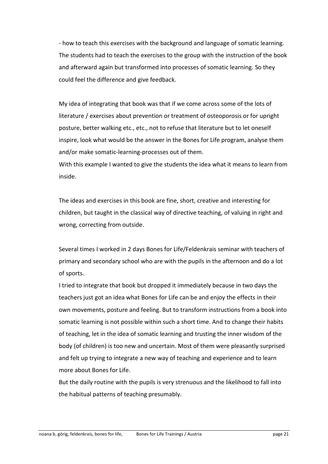- how to teach this exercises with the background and language of somatic learning. The students had to teach the exercises to the group with the instruction of the book and afterward again but transformed into processes of somatic learning. So they could feel the difference and give feedback.

My idea of integrating that book was that if we come across some of the lots of literature / exercises about prevention or treatment of osteoporosis or for upright posture, better walking etc., etc., not to refuse that literature but to let oneself inspire, look what would be the answer in the Bones for Life program, analyse them and/or make somatic-learning-processes out of them.

With this example I wanted to give the students the idea what it means to learn from inside.

The ideas and exercises in this book are fine, short, creative and interesting for children, but taught in the classical way of directive teaching, of valuing in right and wrong, correcting from outside.

Several times I worked in 2 days Bones for Life/Feldenkrais seminar with teachers of primary and secondary school who are with the pupils in the afternoon and do a lot of sports.

I tried to integrate that book but dropped it immediately because in two days the teachers just got an idea what Bones for Life can be and enjoy the effects in their own movements, posture and feeling. But to transform instructions from a book into somatic learning is not possible within such a short time. And to change their habits of teaching, let in the idea of somatic learning and trusting the inner wisdom of the body (of children) is too new and uncertain. Most of them were pleasantly surprised and felt up trying to integrate a new way of teaching and experience and to learn more about Bones for Life.

But the daily routine with the pupils is very strenuous and the likelihood to fall into the habitual patterns of teaching presumably.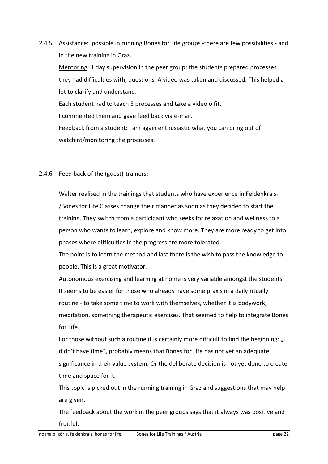2.4.5. Assistance: possible in running Bones for Life groups -there are few possibilities - and in the new training in Graz.

Mentoring: 1 day supervision in the peer group: the students prepared processes they had difficulties with, questions. A video was taken and discussed. This helped a lot to clarify and understand.

Each student had to teach 3 processes and take a video o fit.

I commented them and gave feed back via e-mail.

Feedback from a student: I am again enthusiastic what you can bring out of watchint/monitoring the processes.

## 2.4.6. Feed back of the (guest)-trainers:

Walter realised in the trainings that students who have experience in Feldenkrais- /Bones for Life Classes change their manner as soon as they decided to start the training. They switch from a participant who seeks for relaxation and wellness to a person who wants to learn, explore and know more. They are more ready to get into phases where difficulties in the progress are more tolerated.

The point is to learn the method and last there is the wish to pass the knowledge to people. This is a great motivator.

Autonomous exercising and learning at home is very variable amongst the students. It seems to be easier for those who already have some praxis in a daily ritually routine - to take some time to work with themselves, whether it is bodywork, meditation, something therapeutic exercises. That seemed to help to integrate Bones for Life.

For those without such a routine it is certainly more difficult to find the beginning: "I didn't have time", probably means that Bones for Life has not yet an adequate significance in their value system. Or the deliberate decision is not yet done to create time and space for it.

This topic is picked out in the running training in Graz and suggestions that may help are given.

The feedback about the work in the peer groups says that it always was positive and fruitful.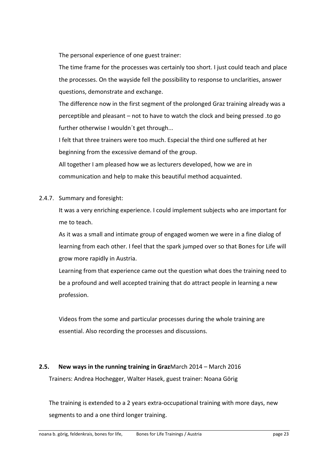The personal experience of one guest trainer:

The time frame for the processes was certainly too short. I just could teach and place the processes. On the wayside fell the possibility to response to unclarities, answer questions, demonstrate and exchange.

The difference now in the first segment of the prolonged Graz training already was a perceptible and pleasant – not to have to watch the clock and being pressed .to go further otherwise I wouldn't get through...

I felt that three trainers were too much. Especial the third one suffered at her beginning from the excessive demand of the group.

All together I am pleased how we as lecturers developed, how we are in communication and help to make this beautiful method acquainted.

2.4.7. Summary and foresight:

It was a very enriching experience. I could implement subjects who are important for me to teach.

As it was a small and intimate group of engaged women we were in a fine dialog of learning from each other. I feel that the spark jumped over so that Bones for Life will grow more rapidly in Austria.

Learning from that experience came out the question what does the training need to be a profound and well accepted training that do attract people in learning a new profession.

Videos from the some and particular processes during the whole training are essential. Also recording the processes and discussions.

## **2.5. New ways in the running training in Graz**March 2014 – March 2016

Trainers: Andrea Hochegger, Walter Hasek, guest trainer: Noana Görig

The training is extended to a 2 years extra-occupational training with more days, new segments to and a one third longer training.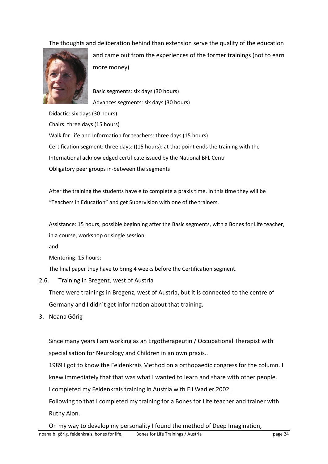The thoughts and deliberation behind than extension serve the quality of the education



and came out from the experiences of the former trainings (not to earn more money)

Basic segments: six days (30 hours) Advances segments: six days (30 hours)

Didactic: six days (30 hours) Chairs: three days (15 hours) Walk for Life and Information for teachers: three days (15 hours) Certification segment: three days: ((15 hours): at that point ends the training with the International acknowledged certificate issued by the National BFL Centr Obligatory peer groups in-between the segments

After the training the students have e to complete a praxis time. In this time they will be "Teachers in Education" and get Supervision with one of the trainers.

Assistance: 15 hours, possible beginning after the Basic segments, with a Bones for Life teacher, in a course, workshop or single session

and

Mentoring: 15 hours:

The final paper they have to bring 4 weeks before the Certification segment.

2.6. Training in Bregenz, west of Austria

There were trainings in Bregenz, west of Austria, but it is connected to the centre of Germany and I didn´t get information about that training.

3. Noana Görig

Since many years I am working as an Ergotherapeutin / Occupational Therapist with specialisation for Neurology and Children in an own praxis..

1989 I got to know the Feldenkrais Method on a orthopaedic congress for the column. I

knew immediately that that was what I wanted to learn and share with other people.

I completed my Feldenkrais training in Austria with Eli Wadler 2002.

Following to that I completed my training for a Bones for Life teacher and trainer with Ruthy Alon.

On my way to develop my personality I found the method of Deep Imagination,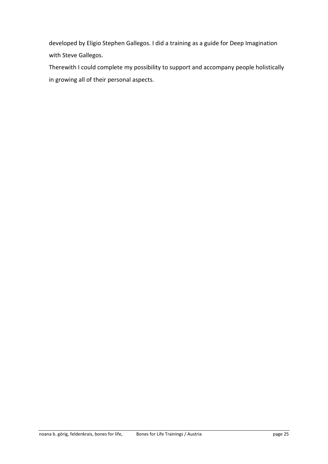developed by Eligio Stephen Gallegos. I did a training as a guide for Deep Imagination with Steve Gallegos.

Therewith I could complete my possibility to support and accompany people holistically in growing all of their personal aspects.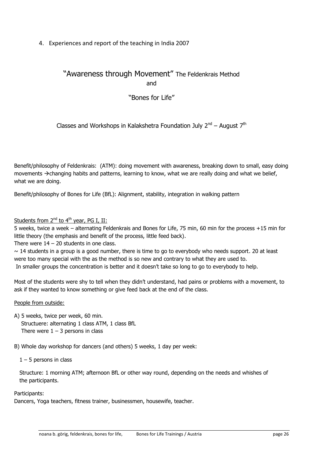4. Experiences and report of the teaching in India 2007

# "Awareness through Movement" The Feldenkrais Method and

# "Bones for Life"

## Classes and Workshops in Kalakshetra Foundation July 2<sup>nd</sup> – August 7<sup>th</sup>

Benefit/philosophy of Feldenkrais: (ATM): doing movement with awareness, breaking down to small, easy doing movements  $\rightarrow$  changing habits and patterns, learning to know, what we are really doing and what we belief, what we are doing.

Benefit/philosophy of Bones for Life (BfL): Alignment, stability, integration in walking pattern

## Students from  $2^{nd}$  to  $4^{th}$  year, PG I, II:

5 weeks, twice a week – alternating Feldenkrais and Bones for Life, 75 min, 60 min for the process +15 min for little theory (the emphasis and benefit of the process, little feed back).

There were  $14 - 20$  students in one class.

 $\sim$  14 students in a group is a good number, there is time to go to everybody who needs support. 20 at least were too many special with the as the method is so new and contrary to what they are used to. In smaller groups the concentration is better and it doesn't take so long to go to everybody to help.

Most of the students were shy to tell when they didn't understand, had pains or problems with a movement, to ask if they wanted to know something or give feed back at the end of the class.

#### People from outside:

A) 5 weeks, twice per week, 60 min. Structuere: alternating 1 class ATM, 1 class BfL There were  $1 - 3$  persons in class

B) Whole day workshop for dancers (and others) 5 weeks, 1 day per week:

 $1 - 5$  persons in class

Structure: 1 morning ATM; afternoon BfL or other way round, depending on the needs and whishes of the participants.

#### Participants:

Dancers, Yoga teachers, fitness trainer, businessmen, housewife, teacher.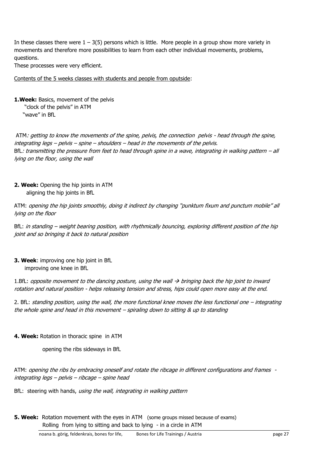In these classes there were  $1 - 3(5)$  persons which is little. More people in a group show more variety in movements and therefore more possibilities to learn from each other individual movements, problems, questions.

These processes were very efficient.

Contents of the 5 weeks classes with students and people from oputside:

**1.Week:** Basics, movement of the pelvis "clock of the pelvis" in ATM "wave" in BfL

ATM: getting to know the movements of the spine, pelvis, the connection pelvis - head through the spine, integrating legs – pelvis – spine – shoulders – head in the movements of the pelvis. BfL: transmitting the pressure from feet to head through spine in a wave, integrating in walking pattern – all lying on the floor, using the wall

**2. Week:** Opening the hip joints in ATM aligning the hip joints in BfL

ATM: opening the hip joints smoothly, doing it indirect by changing "punktum fixum and punctum mobile" all lying on the floor

BfL: in standing – weight bearing position, with rhythmically bouncing, exploring different position of the hip joint and so bringing it back to natural position

**3. Week**: improving one hip joint in BfL improving one knee in BfL

1.BfL: opposite movement to the dancing posture, using the wall  $\rightarrow$  bringing back the hip joint to inward rotation and natural position - helps releasing tension and stress, hips could open more easy at the end.

2. BfL: standing position, using the wall, the more functional knee moves the less functional one – integrating the whole spine and head in this movement  $-$  spiraling down to sitting  $\&$  up to standing

#### **4. Week:** Rotation in thoracic spine in ATM

opening the ribs sideways in BfL

ATM: opening the ribs by embracing oneself and rotate the ribcage in different configurations and frames integrating legs – pelvis – ribcage – spine head

BfL: steering with hands, using the wall, integrating in walking pattern

**5. Week:** Rotation movement with the eyes in ATM (some groups missed because of exams) Rolling from lying to sitting and back to lying - in a circle in ATM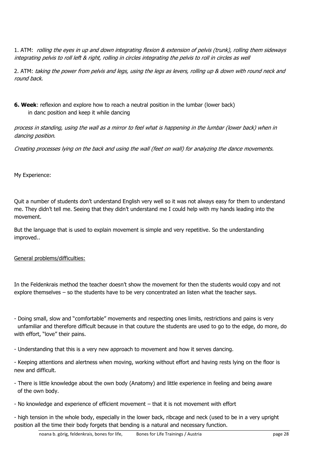1. ATM: rolling the eyes in up and down integrating flexion & extension of pelvis (trunk), rolling them sideways integrating pelvis to roll left & right, rolling in circles integrating the pelvis to roll in circles as well

2. ATM: taking the power from pelvis and legs, using the legs as levers, rolling up & down with round neck and round back.

**6. Week**: reflexion and explore how to reach a neutral position in the lumbar (lower back) in danc position and keep it while dancing

process in standing, using the wall as a mirror to feel what is happening in the lumbar (lower back) when in dancing position.

Creating processes lying on the back and using the wall (feet on wall) for analyzing the dance movements.

My Experience:

Quit a number of students don't understand English very well so it was not always easy for them to understand me. They didn't tell me. Seeing that they didn't understand me I could help with my hands leading into the movement.

But the language that is used to explain movement is simple and very repetitive. So the understanding improved..

General problems/difficulties:

In the Feldenkrais method the teacher doesn't show the movement for then the students would copy and not explore themselves – so the students have to be very concentrated an listen what the teacher says.

- Doing small, slow and "comfortable" movements and respecting ones limits, restrictions and pains is very unfamiliar and therefore difficult because in that couture the students are used to go to the edge, do more, do with effort, "love" their pains.

- Understanding that this is a very new approach to movement and how it serves dancing.

- Keeping attentions and alertness when moving, working without effort and having rests lying on the floor is new and difficult.

- There is little knowledge about the own body (Anatomy) and little experience in feeling and being aware of the own body.

- No knowledge and experience of efficient movement – that it is not movement with effort

- high tension in the whole body, especially in the lower back, ribcage and neck (used to be in a very upright position all the time their body forgets that bending is a natural and necessary function.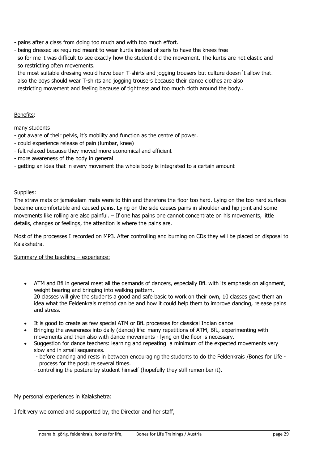- pains after a class from doing too much and with too much effort.
- being dressed as required meant to wear kurtis instead of saris to have the knees free

 so for me it was difficult to see exactly how the student did the movement. The kurtis are not elastic and so restricting often movements.

 the most suitable dressing would have been T-shirts and jogging trousers but culture doesn´t allow that. also the boys should wear T-shirts and jogging trousers because their dance clothes are also restricting movement and feeling because of tightness and too much cloth around the body..

#### Benefits:

many students

- got aware of their pelvis, it's mobility and function as the centre of power.
- could experience release of pain (lumbar, knee)
- felt relaxed because they moved more economical and efficient
- more awareness of the body in general
- getting an idea that in every movement the whole body is integrated to a certain amount

#### Supplies:

The straw mats or jamakalam mats were to thin and therefore the floor too hard. Lying on the too hard surface became uncomfortable and caused pains. Lying on the side causes pains in shoulder and hip joint and some movements like rolling are also painful. – If one has pains one cannot concentrate on his movements, little details, changes or feelings, the attention is where the pains are.

Most of the processes I recorded on MP3. After controlling and burning on CDs they will be placed on disposal to Kalakshetra.

#### Summary of the teaching - experience:

- ATM and Bfl in general meet all the demands of dancers, especially BfL with its emphasis on alignment, weight bearing and bringing into walking pattern. 20 classes will give the students a good and safe basic to work on their own, 10 classes gave them an idea what the Feldenkrais method can be and how it could help them to improve dancing, release pains and stress.
- It is good to create as few special ATM or BfL processes for classical Indian dance
- Bringing the awareness into daily (dance) life: many repetitions of ATM, BfL, experimenting with movements and then also with dance movements - lying on the floor is necessary.
- Suggestion for dance teachers: learning and repeating a minimum of the expected movements very slow and in small sequences.
	- before dancing and rests in between encouraging the students to do the Feldenkrais /Bones for Life process for the posture several times.
	- controlling the posture by student himself (hopefully they still remember it).

My personal experiences in Kalakshetra:

I felt very welcomed and supported by, the Director and her staff,